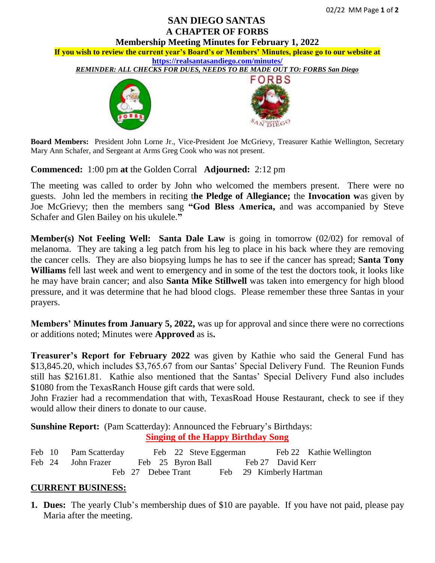## **SAN DIEGO SANTAS A CHAPTER OF FORBS**

**Membership Meeting Minutes for February 1, 2022 If you wish to review the current year's Board's or Members' Minutes, please go to our website at <https://realsantasandiego.com/minutes/>** *REMINDER: ALL CHECKS FOR DUES, NEEDS TO BE MADE OUT TO: FORBS San Diego* **RBS** 

**Board Members:** President John Lorne Jr., Vice-President Joe McGrievy, Treasurer Kathie Wellington, Secretary Mary Ann Schafer, and Sergeant at Arms Greg Cook who was not present.

**Commenced:** 1:00 pm **at** the Golden Corral **Adjourned:** 2:12 pm

The meeting was called to order by John who welcomed the members present. There were no guests. John led the members in reciting t**he Pledge of Allegiance;** the **Invocation w**as given by Joe McGrievy; then the members sang **"God Bless America,** and was accompanied by Steve Schafer and Glen Bailey on his ukulele.**"**

**Member(s) Not Feeling Well: Santa Dale Law** is going in tomorrow (02/02) for removal of melanoma. They are taking a leg patch from his leg to place in his back where they are removing the cancer cells. They are also biopsying lumps he has to see if the cancer has spread; **Santa Tony Williams** fell last week and went to emergency and in some of the test the doctors took, it looks like he may have brain cancer; and also **Santa Mike Stillwell** was taken into emergency for high blood pressure, and it was determine that he had blood clogs. Please remember these three Santas in your prayers.

**Members' Minutes from January 5, 2022,** was up for approval and since there were no corrections or additions noted; Minutes were **Approved** as is**.**

**Treasurer's Report for February 2022** was given by Kathie who said the General Fund has \$13,845.20, which includes \$3,765.67 from our Santas' Special Delivery Fund. The Reunion Funds still has \$2161.81. Kathie also mentioned that the Santas' Special Delivery Fund also includes \$1080 from the TexasRanch House gift cards that were sold.

John Frazier had a recommendation that with, TexasRoad House Restaurant, check to see if they would allow their diners to donate to our cause.

**Sunshine Report:** (Pam Scatterday): Announced the February's Birthdays: **Singing of the Happy Birthday Song**

Feb 10 Pam Scatterday Feb 22 Steve Eggerman Feb 22 Kathie Wellington Feb 24 John Frazer Feb 25 Byron Ball Feb 27 David Kerr Feb 27 Debee Trant Feb 29 Kimberly Hartman

## **CURRENT BUSINESS:**

**1. Dues:** The yearly Club's membership dues of \$10 are payable. If you have not paid, please pay Maria after the meeting.